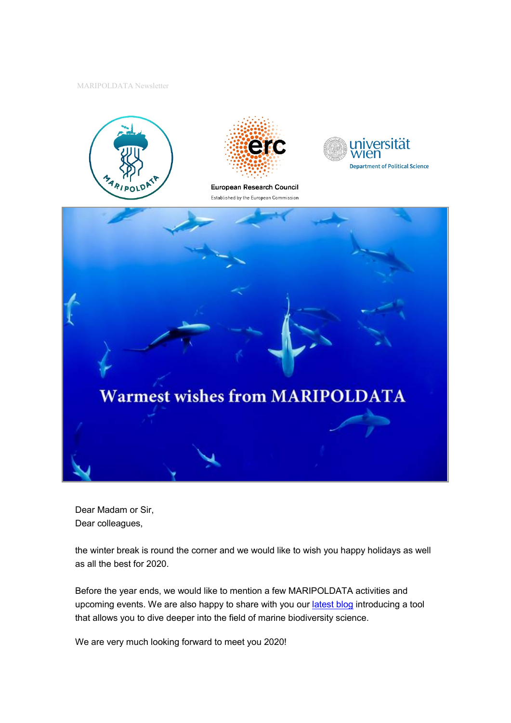MARIPOLDATA Newsletter











Dear Madam or Sir, Dear colleagues,

the winter break is round the corner and we would like to wish you happy holidays as well as all the best for 2020.

Before the year ends, we would like to mention a few MARIPOLDATA activities and upcoming events. We are also happy to share with you ou[r latest blog](https://www.maripoldata.eu/maripoldata-interactive-dashboard-showing-the-evolution-of-the-marine-biodiversity-field-since-1990/) introducing a tool that allows you to dive deeper into the field of marine biodiversity science.

We are very much looking forward to meet you 2020!